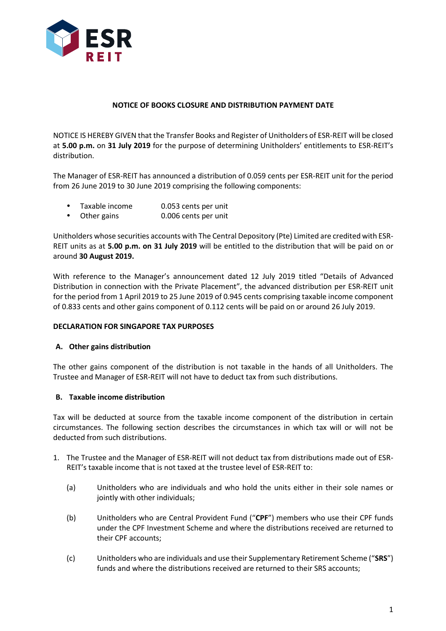

## **NOTICE OF BOOKS CLOSURE AND DISTRIBUTION PAYMENT DATE**

NOTICE IS HEREBY GIVEN that the Transfer Books and Register of Unitholders of ESR-REIT will be closed at **5.00 p.m.** on **31 July 2019** for the purpose of determining Unitholders' entitlements to ESR-REIT's distribution.

The Manager of ESR-REIT has announced a distribution of 0.059 cents per ESR-REIT unit for the period from 26 June 2019 to 30 June 2019 comprising the following components:

- Taxable income 0.053 cents per unit
- Other gains 0.006 cents per unit

Unitholders whose securities accounts with The Central Depository (Pte) Limited are credited with ESR-REIT units as at **5.00 p.m. on 31 July 2019** will be entitled to the distribution that will be paid on or around **30 August 2019.**

With reference to the Manager's announcement dated 12 July 2019 titled "Details of Advanced Distribution in connection with the Private Placement", the advanced distribution per ESR-REIT unit for the period from 1 April 2019 to 25 June 2019 of 0.945 cents comprising taxable income component of 0.833 cents and other gains component of 0.112 cents will be paid on or around 26 July 2019.

### **DECLARATION FOR SINGAPORE TAX PURPOSES**

### **A. Other gains distribution**

The other gains component of the distribution is not taxable in the hands of all Unitholders. The Trustee and Manager of ESR-REIT will not have to deduct tax from such distributions.

### **B. Taxable income distribution**

Tax will be deducted at source from the taxable income component of the distribution in certain circumstances. The following section describes the circumstances in which tax will or will not be deducted from such distributions.

- 1. The Trustee and the Manager of ESR-REIT will not deduct tax from distributions made out of ESR-REIT's taxable income that is not taxed at the trustee level of ESR-REIT to:
	- (a) Unitholders who are individuals and who hold the units either in their sole names or jointly with other individuals;
	- (b) Unitholders who are Central Provident Fund ("**CPF**") members who use their CPF funds under the CPF Investment Scheme and where the distributions received are returned to their CPF accounts;
	- (c) Unitholders who are individuals and use their Supplementary Retirement Scheme ("**SRS**") funds and where the distributions received are returned to their SRS accounts;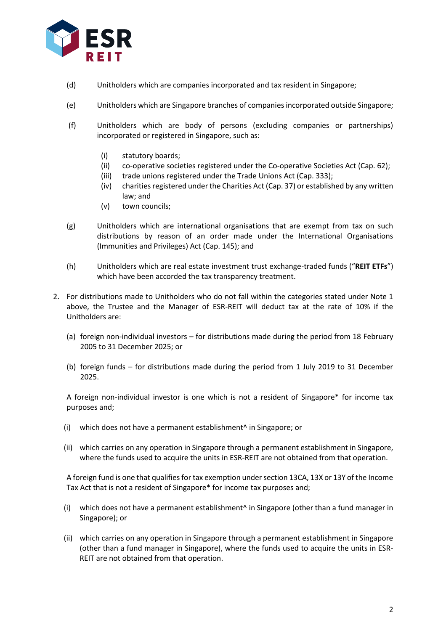

- (d) Unitholders which are companies incorporated and tax resident in Singapore;
- (e) Unitholders which are Singapore branches of companies incorporated outside Singapore;
- (f) Unitholders which are body of persons (excluding companies or partnerships) incorporated or registered in Singapore, such as:
	- (i) statutory boards;
	- (ii) co-operative societies registered under the Co-operative Societies Act (Cap. 62);
	- (iii) trade unions registered under the Trade Unions Act (Cap. 333);
	- (iv) charities registered under the Charities Act (Cap. 37) or established by any written law; and
	- (v) town councils;
- (g) Unitholders which are international organisations that are exempt from tax on such distributions by reason of an order made under the International Organisations (Immunities and Privileges) Act (Cap. 145); and
- (h) Unitholders which are real estate investment trust exchange-traded funds ("**REIT ETFs**") which have been accorded the tax transparency treatment.
- 2. For distributions made to Unitholders who do not fall within the categories stated under Note 1 above, the Trustee and the Manager of ESR-REIT will deduct tax at the rate of 10% if the Unitholders are:
	- (a) foreign non-individual investors for distributions made during the period from 18 February 2005 to 31 December 2025; or
	- (b) foreign funds for distributions made during the period from 1 July 2019 to 31 December 2025.

A foreign non-individual investor is one which is not a resident of Singapore\* for income tax purposes and;

- (i) which does not have a permanent establishment^ in Singapore; or
- (ii) which carries on any operation in Singapore through a permanent establishment in Singapore, where the funds used to acquire the units in ESR-REIT are not obtained from that operation.

A foreign fund is one that qualifies for tax exemption under section 13CA, 13X or 13Y of the Income Tax Act that is not a resident of Singapore\* for income tax purposes and;

- (i) which does not have a permanent establishment^ in Singapore (other than a fund manager in Singapore); or
- (ii) which carries on any operation in Singapore through a permanent establishment in Singapore (other than a fund manager in Singapore), where the funds used to acquire the units in ESR-REIT are not obtained from that operation.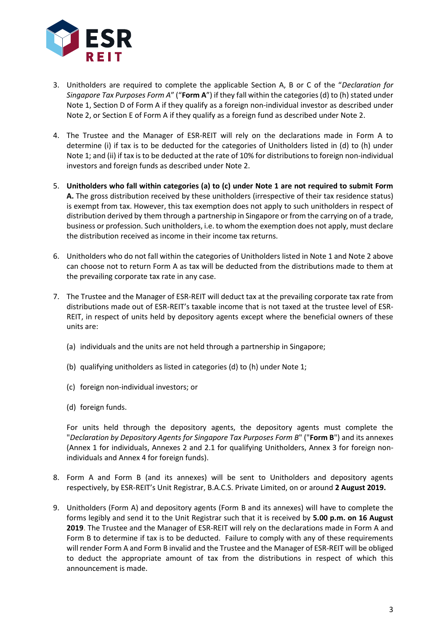

- 3. Unitholders are required to complete the applicable Section A, B or C of the "*Declaration for Singapore Tax Purposes Form A*" ("**Form A**") if they fall within the categories (d) to (h) stated under Note 1, Section D of Form A if they qualify as a foreign non-individual investor as described under Note 2, or Section E of Form A if they qualify as a foreign fund as described under Note 2.
- 4. The Trustee and the Manager of ESR-REIT will rely on the declarations made in Form A to determine (i) if tax is to be deducted for the categories of Unitholders listed in (d) to (h) under Note 1; and (ii) if tax is to be deducted at the rate of 10% for distributions to foreign non-individual investors and foreign funds as described under Note 2.
- 5. **Unitholders who fall within categories (a) to (c) under Note 1 are not required to submit Form A.** The gross distribution received by these unitholders (irrespective of their tax residence status) is exempt from tax. However, this tax exemption does not apply to such unitholders in respect of distribution derived by them through a partnership in Singapore or from the carrying on of a trade, business or profession. Such unitholders, i.e. to whom the exemption does not apply, must declare the distribution received as income in their income tax returns.
- 6. Unitholders who do not fall within the categories of Unitholders listed in Note 1 and Note 2 above can choose not to return Form A as tax will be deducted from the distributions made to them at the prevailing corporate tax rate in any case.
- 7. The Trustee and the Manager of ESR-REIT will deduct tax at the prevailing corporate tax rate from distributions made out of ESR-REIT's taxable income that is not taxed at the trustee level of ESR-REIT, in respect of units held by depository agents except where the beneficial owners of these units are:
	- (a) individuals and the units are not held through a partnership in Singapore;
	- (b) qualifying unitholders as listed in categories (d) to (h) under Note 1;
	- (c) foreign non-individual investors; or
	- (d) foreign funds.

For units held through the depository agents, the depository agents must complete the "*Declaration by Depository Agents for Singapore Tax Purposes Form B*" ("**Form B**") and its annexes (Annex 1 for individuals, Annexes 2 and 2.1 for qualifying Unitholders, Annex 3 for foreign nonindividuals and Annex 4 for foreign funds).

- 8. Form A and Form B (and its annexes) will be sent to Unitholders and depository agents respectively, by ESR-REIT's Unit Registrar, B.A.C.S. Private Limited, on or around **2 August 2019.**
- 9. Unitholders (Form A) and depository agents (Form B and its annexes) will have to complete the forms legibly and send it to the Unit Registrar such that it is received by **5.00 p.m. on 16 August 2019**. The Trustee and the Manager of ESR-REIT will rely on the declarations made in Form A and Form B to determine if tax is to be deducted. Failure to comply with any of these requirements will render Form A and Form B invalid and the Trustee and the Manager of ESR-REIT will be obliged to deduct the appropriate amount of tax from the distributions in respect of which this announcement is made.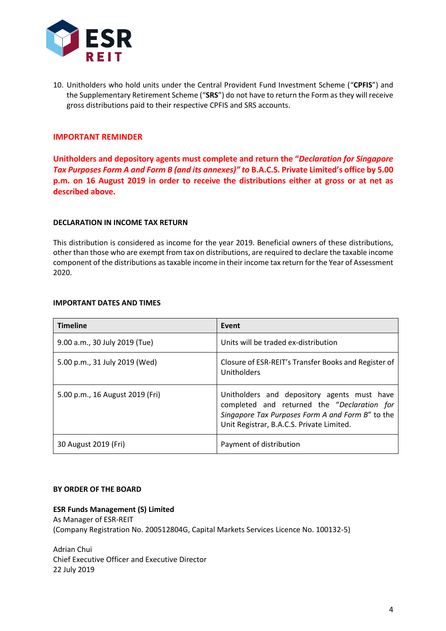

10. Unitholders who hold units under the Central Provident Fund Investment Scheme ("**CPFIS**") and the Supplementary Retirement Scheme ("**SRS**") do not have to return the Form as they will receive gross distributions paid to their respective CPFIS and SRS accounts.

# **IMPORTANT REMINDER**

**Unitholders and depository agents must complete and return the "***Declaration for Singapore Tax Purposes Form A and Form B (and its annexes)" to* **B.A.C.S. Private Limited's office by 5.00 p.m. on 16 August 2019 in order to receive the distributions either at gross or at net as described above.**

#### **DECLARATION IN INCOME TAX RETURN**

This distribution is considered as income for the year 2019. Beneficial owners of these distributions, other than those who are exempt from tax on distributions, are required to declare the taxable income component of the distributions as taxable income in their income tax return for the Year of Assessment 2020.

#### **IMPORTANT DATES AND TIMES**

| <b>Timeline</b>                 | Event                                                                                                                                                                                       |
|---------------------------------|---------------------------------------------------------------------------------------------------------------------------------------------------------------------------------------------|
| 9.00 a.m., 30 July 2019 (Tue)   | Units will be traded ex-distribution                                                                                                                                                        |
| 5.00 p.m., 31 July 2019 (Wed)   | Closure of ESR-REIT's Transfer Books and Register of<br>Unitholders                                                                                                                         |
| 5.00 p.m., 16 August 2019 (Fri) | Unitholders and depository agents must have<br>completed and returned the "Declaration for<br>Singapore Tax Purposes Form A and Form B" to the<br>Unit Registrar, B.A.C.S. Private Limited. |
| 30 August 2019 (Fri)            | Payment of distribution                                                                                                                                                                     |

### **BY ORDER OF THE BOARD**

### **ESR Funds Management (S) Limited**

As Manager of ESR-REIT (Company Registration No. 200512804G, Capital Markets Services Licence No. 100132-5)

Adrian Chui Chief Executive Officer and Executive Director 22 July 2019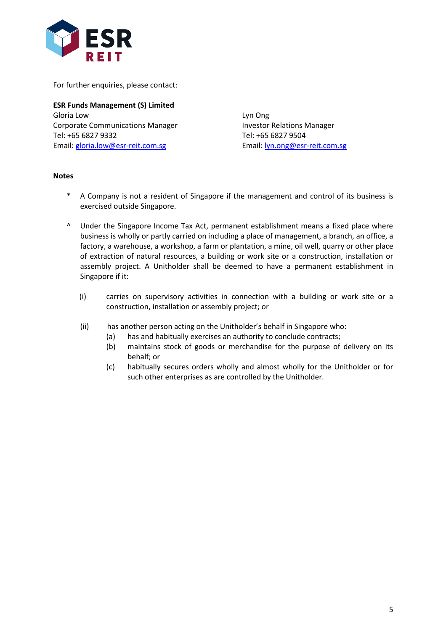

For further enquiries, please contact:

**ESR Funds Management (S) Limited** Gloria Low Lyn Ong Corporate Communications Manager **Investor Relations Manager** Tel: +65 6827 9332 Tel: +65 6827 9504 Email: [gloria.low@esr-reit.com.sg](mailto:gloria.low@esr-reit.com.sg) Email: [lyn.ong@esr-reit.com.sg](mailto:lyn.ong@esr-reit.com.sg)

### **Notes**

- \* A Company is not a resident of Singapore if the management and control of its business is exercised outside Singapore.
- ^ Under the Singapore Income Tax Act, permanent establishment means a fixed place where business is wholly or partly carried on including a place of management, a branch, an office, a factory, a warehouse, a workshop, a farm or plantation, a mine, oil well, quarry or other place of extraction of natural resources, a building or work site or a construction, installation or assembly project. A Unitholder shall be deemed to have a permanent establishment in Singapore if it:
	- (i) carries on supervisory activities in connection with a building or work site or a construction, installation or assembly project; or
	- (ii) has another person acting on the Unitholder's behalf in Singapore who:
		- (a) has and habitually exercises an authority to conclude contracts;
		- (b) maintains stock of goods or merchandise for the purpose of delivery on its behalf; or
		- (c) habitually secures orders wholly and almost wholly for the Unitholder or for such other enterprises as are controlled by the Unitholder.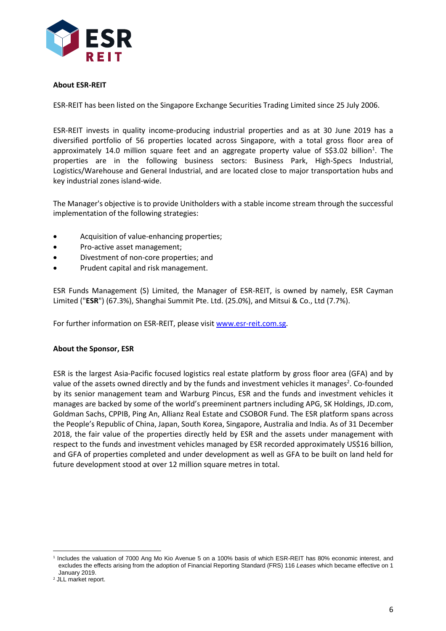

# **About ESR-REIT**

ESR-REIT has been listed on the Singapore Exchange Securities Trading Limited since 25 July 2006.

ESR-REIT invests in quality income-producing industrial properties and as at 30 June 2019 has a diversified portfolio of 56 properties located across Singapore, with a total gross floor area of approximately 14.0 million square feet and an aggregate property value of S\$3.02 billion<sup>1</sup>. The properties are in the following business sectors: Business Park, High-Specs Industrial, Logistics/Warehouse and General Industrial, and are located close to major transportation hubs and key industrial zones island-wide.

The Manager's objective is to provide Unitholders with a stable income stream through the successful implementation of the following strategies:

- Acquisition of value-enhancing properties;
- Pro-active asset management;
- Divestment of non-core properties; and
- Prudent capital and risk management.

ESR Funds Management (S) Limited, the Manager of ESR-REIT, is owned by namely, ESR Cayman Limited ("**ESR**") (67.3%), Shanghai Summit Pte. Ltd. (25.0%), and Mitsui & Co., Ltd (7.7%).

For further information on ESR-REIT, please visit [www.esr-reit.com.sg.](http://www.esr-reit.com.sg/)

### **About the Sponsor, ESR**

ESR is the largest Asia-Pacific focused logistics real estate platform by gross floor area (GFA) and by value of the assets owned directly and by the funds and investment vehicles it manages<sup>2</sup>. Co-founded by its senior management team and Warburg Pincus, ESR and the funds and investment vehicles it manages are backed by some of the world's preeminent partners including APG, SK Holdings, [JD.com,](https://apc01.safelinks.protection.outlook.com/?url=http%3A%2F%2FJD.com&data=02%7C01%7Cgloria.low%40esr-reit.com.sg%7C16df19b1f8f5430ac47908d6e28c054e%7C6ed733c0622d401d8f49b2984c7d765f%7C0%7C0%7C636945488357392643&sdata=ugygLXuJAYLNKBp8WAxgXhfjlBXZqrj5qzG0rZReVMI%3D&reserved=0) Goldman Sachs, CPPIB, Ping An, Allianz Real Estate and CSOBOR Fund. The ESR platform spans across the People's Republic of China, Japan, South Korea, Singapore, Australia and India. As of 31 December 2018, the fair value of the properties directly held by ESR and the assets under management with respect to the funds and investment vehicles managed by ESR recorded approximately US\$16 billion, and GFA of properties completed and under development as well as GFA to be built on land held for future development stood at over 12 million square metres in total.

 $\overline{a}$ 1 Includes the valuation of 7000 Ang Mo Kio Avenue 5 on a 100% basis of which ESR-REIT has 80% economic interest, and excludes the effects arising from the adoption of Financial Reporting Standard (FRS) 116 *Leases* which became effective on 1 January 2019.

<sup>2</sup> JLL market report.